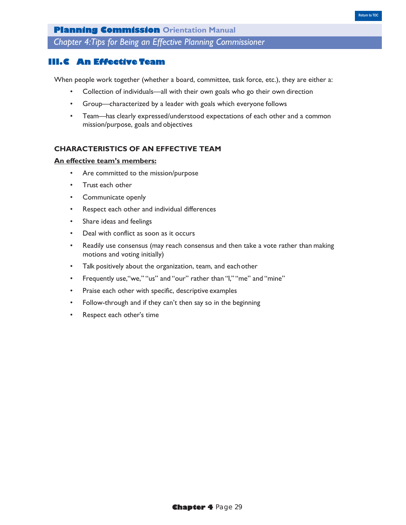*Chapter 4:Tips for Being an Effective Planning Commissioner*

# **III.C An Effective Team**

When people work together (whether a board, committee, task force, etc.), they are either a:

- Collection of individuals—all with their own goals who go their own direction
- Group—characterized by a leader with goals which everyone follows
- Team—has clearly expressed/understood expectations of each other and a common mission/purpose, goals and objectives

# **CHARACTERISTICS OF AN EFFECTIVE TEAM**

#### **An effective team's members:**

- Are committed to the mission/purpose
- Trust each other
- Communicate openly
- Respect each other and individual differences
- Share ideas and feelings
- Deal with conflict as soon as it occurs
- Readily use consensus (may reach consensus and then take a vote rather than making motions and voting initially)
- Talk positively about the organization, team, and each other
- Frequently use,"we," "us" and "our" rather than "I," "me" and "mine"
- Praise each other with specific, descriptive examples
- Follow-through and if they can't then say so in the beginning
- Respect each other's time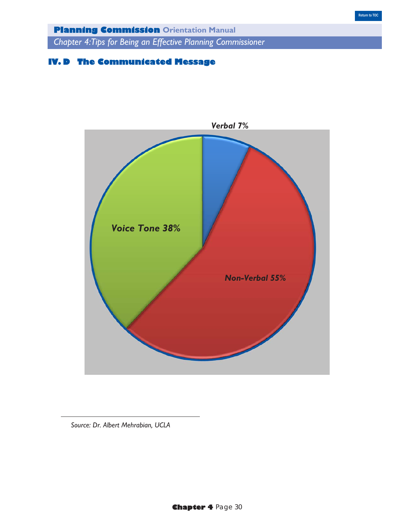*Chapter 4:Tips for Being an Effective Planning Commissioner*

# **IV. D The Communicated Message**



*Source: Dr. Albert Mehrabian, UCLA*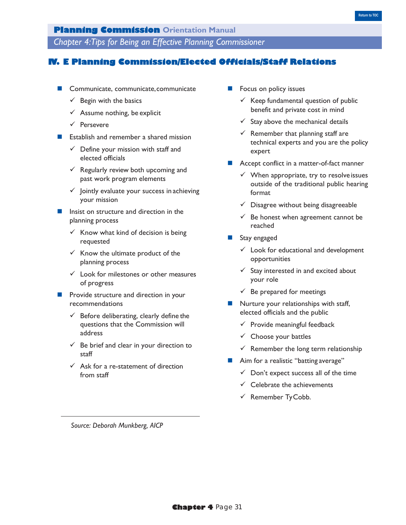*Chapter 4:Tips for Being an Effective Planning Commissioner*

# **IV. E Planning Commission/Elected Officials/Staff Relations**

- Communicate, communicate, communicate
	- $\checkmark$  Begin with the basics
	- $\checkmark$  Assume nothing, be explicit
	- $\checkmark$  Persevere
- **Example 1** Establish and remember a shared mission
	- $\checkmark$  Define your mission with staff and elected officials
	- $\checkmark$  Regularly review both upcoming and past work program elements
	- $\checkmark$  Jointly evaluate your success in achieving your mission
- Insist on structure and direction in the planning process
	- $\checkmark$  Know what kind of decision is being requested
	- $\checkmark$  Know the ultimate product of the planning process
	- $\checkmark$  Look for milestones or other measures of progress
- Provide structure and direction in your recommendations
	- $\checkmark$  Before deliberating, clearly define the questions that the Commission will address
	- $\checkmark$  Be brief and clear in your direction to staff
	- $\checkmark$  Ask for a re-statement of direction from staff
- Focus on policy issues
	- $\checkmark$  Keep fundamental question of public benefit and private cost in mind
	- $\checkmark$  Stay above the mechanical details
	- $\checkmark$  Remember that planning staff are technical experts and you are the policy expert
- Accept conflict in a matter-of-fact manner
	- $\checkmark$  When appropriate, try to resolve issues outside of the traditional public hearing format
	- $\checkmark$  Disagree without being disagreeable
	- $\checkmark$  Be honest when agreement cannot be reached
- Stay engaged
	- $\checkmark$  Look for educational and development opportunities
	- $\checkmark$  Stay interested in and excited about your role
	- $\checkmark$  Be prepared for meetings
- **Nurture your relationships with staff,** elected officials and the public
	- $\checkmark$  Provide meaningful feedback
	- $\checkmark$  Choose your battles
	- $\checkmark$  Remember the long term relationship
- Aim for a realistic "batting average"
	- $\checkmark$  Don't expect success all of the time
	- $\checkmark$  Celebrate the achievements
	- $\checkmark$  Remember Ty Cobb.

*Source: Deborah Munkberg, AICP*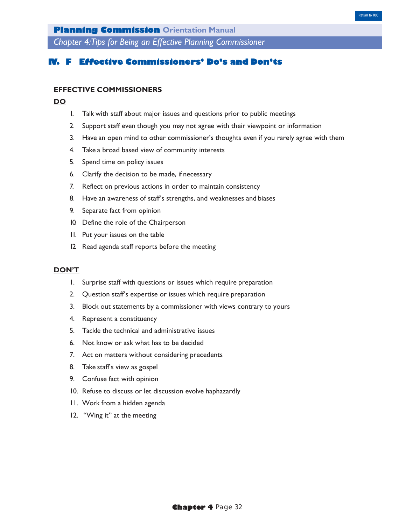*Chapter 4:Tips for Being an Effective Planning Commissioner*

# **Effective Commissioners' Do's and Don'ts**

## **EFFECTIVE COMMISSIONERS**

## **DO**

- 1. Talk with staff about major issues and questions prior to public meetings
- 2. Support staff even though you may not agree with their viewpoint or information
- 3. Have an open mind to other commissioner's thoughts even if you rarely agree with them
- 4. Take a broad based view of community interests
- 5. Spend time on policy issues
- 6. Clarify the decision to be made, if necessary
- 7. Reflect on previous actions in order to maintain consistency
- 8. Have an awareness of staff's strengths, and weaknesses and biases
- 9. Separate fact from opinion
- 10. Define the role of the Chairperson
- 11. Put your issues on the table
- 12. Read agenda staff reports before the meeting

#### **DON'T**

- 1. Surprise staff with questions or issues which require preparation
- 2. Question staff's expertise or issues which require preparation
- 3. Block out statements by a commissioner with views contrary to yours
- 4. Represent a constituency
- 5. Tackle the technical and administrative issues
- 6. Not know or ask what has to be decided
- 7. Act on matters without considering precedents
- 8. Take staff's view as gospel
- 9. Confuse fact with opinion
- 10. Refuse to discuss or let discussion evolve haphazardly
- 11. Work from a hidden agenda
- 12. "Wing it" at the meeting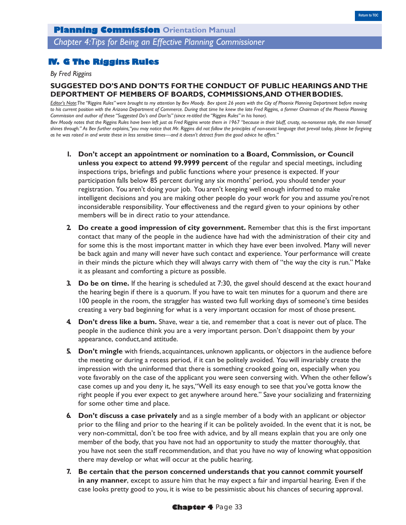*Chapter 4:Tips for Being an Effective Planning Commissioner*

# **IV. G The Riggins Rules**

### *By Fred Riggins*

# **SUGGESTED DO'S AND DON'TS FOR THE CONDUCT OF PUBLIC HEARINGS AND THE DEPORTMENT OF MEMBERS OF BOARDS, COMMISSIONS,AND OTHER BODIES.**

*Editor's Note:The "Riggins Rules" were brought to my attention by Bev Moody. Bev spent 26 years with the City of Phoenix Planning Department before moving to his current position with the Arizona Department of Commerce. During that time he knew the late Fred Riggins, a former Chairman of the Phoenix Planning Commission and author of these "Suggested Do's and Don'ts" (since re-titled the "Riggins Rules" in his honor).*

*Bev Moody notes that the Riggins Rules have been left just as Fred Riggins wrote them in 1967 "because in their bluff, crusty, no-nonsense style, the man himself shines through." As Bev further explains,"you may notice that Mr. Riggins did not follow the principles of non-sexist language that prevail today, please be forgiving as he was raised in and wrote these in less sensitive times—and it doesn't detract from the good advice he offers."*

- **1. Don't accept an appointment or nomination to a Board, Commission, or Council unless you expect to attend 99.9999 percent** of the regular and special meetings, including inspections trips, briefings and public functions where your presence is expected. If your participation falls below 85 percent during any six months' period, you should tender your registration. You aren't doing your job. You aren't keeping well enough informed to make intelligent decisions and you are making other people do your work for you and assume you're not inconsiderable responsibility. Your effectiveness and the regard given to your opinions by other members will be in direct ratio to your attendance.
- **2. Do create a good impression of city government.** Remember that this is the first important contact that many of the people in the audience have had with the administration of their city and for some this is the most important matter in which they have ever been involved. Many will never be back again and many will never have such contact and experience. Your performance will create in their minds the picture which they will always carry with them of "the way the city is run." Make it as pleasant and comforting a picture as possible.
- **3. Do be on time.** If the hearing is scheduled at 7:30, the gavel should descend at the exact hour and the hearing begin if there is a quorum. If you have to wait ten minutes for a quorum and there are 100 people in the room, the straggler has wasted two full working days of someone's time besides creating a very bad beginning for what is a very important occasion for most of those present.
- **4. Don't dress like a bum.** Shave, wear a tie, and remember that a coat is never out of place. The people in the audience think you are a very important person. Don't disappoint them by your appearance, conduct, and attitude.
- **5. Don't mingle** with friends, acquaintances, unknown applicants, or objectors in the audience before the meeting or during a recess period, if it can be politely avoided. You will invariably create the impression with the uninformed that there is something crooked going on, especially when you vote favorably on the case of the applicant you were seen conversing with. When the other fellow's case comes up and you deny it, he says,"Well its easy enough to see that you've gotta know the right people if you ever expect to get anywhere around here." Save your socializing and fraternizing for some other time and place.
- **6. Don't discuss a case privately** and as a single member of a body with an applicant or objector prior to the filing and prior to the hearing if it can be politely avoided. In the event that it is not, be very non-committal, don't be too free with advice, and by all means explain that you are only one member of the body, that you have not had an opportunity to study the matter thoroughly, that you have not seen the staff recommendation, and that you have no way of knowing what opposition there may develop or what will occur at the public hearing.
- **7. Be certain that the person concerned understands that you cannot commit yourself in any manner**, except to assure him that he may expect a fair and impartial hearing. Even if the case looks pretty good to you, it is wise to be pessimistic about his chances of securing approval.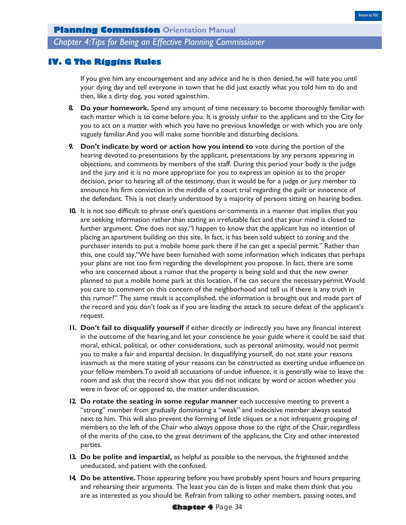*Chapter 4:Tips for Being an Effective Planning Commissioner*

# **IV. G The Riggins Rules**

If you give him any encouragement and any advice and he is then denied, he will hate you until your dying day and tell everyone in town that he did just exactly what you told him to do and then, like a dirty dog, you voted against him.

- **8. Do your homework.** Spend any amount of time necessary to become thoroughly familiar with each matter which is to come before you. It is grossly unfair to the applicant and to the City for you to act on a matter with which you have no previous knowledge or with which you are only vaguely familiar.And you will make some horrible and disturbing decisions.
- **9. Don't indicate by word or action how you intend to** vote during the portion of the hearing devoted to presentations by the applicant, presentations by any persons appearing in objections, and comments by members of the staff. During this period your body is the judge and the jury and it is no more appropriate for you to express an opinion as to the proper decision, prior to hearing all of the testimony, than it would be for a judge or jury member to announce his firm conviction in the middle of a court trial regarding the guilt or innocence of the defendant. This is not clearly understood by a majority of persons sitting on hearing bodies.
- **10.** It is not too difficult to phrase one's questions or comments in a manner that implies that you are seeking information rather than stating an irrefutable fact and that your mind is closed to further argument. One does not say,"I happen to know that the applicant has no intention of placing an apartment building on this site. In fact, it has been sold subject to zoning and the purchaser intends to put a mobile home park there if he can get a special permit." Rather than this, one could say,"We have been furnished with some information which indicates that perhaps your plans are not too firm regarding the development you propose. In fact, there are some who are concerned about a rumor that the property is being sold and that the new owner planned to put a mobile home park at this location, if he can secure the necessary permit.Would you care to comment on this concern of the neighborhood and tell us if there is any truth in this rumor?" The same result is accomplished, the information is brought out and made part of the record and you don't look as if you are leading the attack to secure defeat of the applicant's request.
- **11. Don't fail to disqualify yourself** if either directly or indirectly you have any financial interest in the outcome of the hearing, and let your conscience be your guide where it could be said that moral, ethical, political, or other considerations, such as personal animosity, would not permit you to make a fair and impartial decision. In disqualifying yourself, do not state your reasons inasmuch as the mere stating of your reasons can be constructed as exerting undue influence on your fellow members.To avoid all accusations of undue influence, it is generally wise to leave the room and ask that the record show that you did not indicate by word or action whether you were in favor of, or opposed to, the matter under discussion.
- **12. Do rotate the seating in some regular manner each successive meeting to prevent a** "strong" member from gradually dominating a "weak" and indecisive member always seated next to him. This will also prevent the forming of little cliques or a not infrequent grouping of members to the left of the Chair who always oppose those to the right of the Chair, regardless of the merits of the case, to the great detriment of the applicant, the City and other interested parties.
- **13. Do be polite and impartial,** as helpful as possible to the nervous, the frightened and the uneducated, and patient with the confused.
- **14. Do be attentive.** Those appearing before you have probably spent hours and hours preparing and rehearsing their arguments. The least you can do is listen and make them think that you are as interested as you should be. Refrain from talking to other members, passing notes, and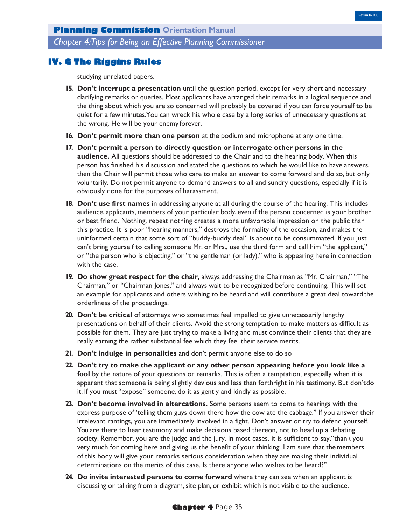*Chapter 4:Tips for Being an Effective Planning Commissioner*

# **IV. G The Riggins Rules**

studying unrelated papers.

- **15. Don't interrupt a presentation** until the question period, except for very short and necessary clarifying remarks or queries. Most applicants have arranged their remarks in a logical sequence and the thing about which you are so concerned will probably be covered if you can force yourself to be quiet for a few minutes.You can wreck his whole case by a long series of unnecessary questions at the wrong. He will be your enemy forever.
- **16. Don't permit more than one person** at the podium and microphone at any one time.
- **17. Don't permit a person to directly question or interrogate other persons in the audience.** All questions should be addressed to the Chair and to the hearing body. When this person has finished his discussion and stated the questions to which he would like to have answers, then the Chair will permit those who care to make an answer to come forward and do so, but only voluntarily. Do not permit anyone to demand answers to all and sundry questions, especially if it is obviously done for the purposes of harassment.
- **18. Don't use first names** in addressing anyone at all during the course of the hearing. This includes audience, applicants, members of your particular body, even if the person concerned is your brother or best friend. Nothing, repeat nothing creates a more unfavorable impression on the public than this practice. It is poor "hearing manners," destroys the formality of the occasion, and makes the uninformed certain that some sort of "buddy-buddy deal" is about to be consummated. If you just can't bring yourself to calling someone Mr. or Mrs., use the third form and call him "the applicant," or "the person who is objecting," or "the gentleman (or lady)," who is appearing here in connection with the case.
- **19. Do show great respect for the chair,** always addressing the Chairman as "Mr. Chairman," "The Chairman," or "Chairman Jones," and always wait to be recognized before continuing. This will set an example for applicants and others wishing to be heard and will contribute a great deal toward the orderliness of the proceedings.
- **20. Don't be critical** of attorneys who sometimes feel impelled to give unnecessarily lengthy presentations on behalf of their clients. Avoid the strong temptation to make matters as difficult as possible for them. They are just trying to make a living and must convince their clients that they are really earning the rather substantial fee which they feel their service merits.
- **21. Don't indulge in personalities** and don't permit anyone else to do so
- **22. Don't try to make the applicant or any other person appearing before you look like a fool** by the nature of your questions or remarks. This is often a temptation, especially when it is apparent that someone is being slightly devious and less than forthright in his testimony. But don't do it. If you must "expose" someone, do it as gently and kindly as possible.
- **23. Don't become involved in altercations.** Some persons seem to come to hearings with the express purpose of "telling them guys down there how the cow ate the cabbage." If you answer their irrelevant rantings, you are immediately involved in a fight. Don't answer or try to defend yourself. You are there to hear testimony and make decisions based thereon, not to head up a debating society. Remember, you are the judge and the jury. In most cases, it is sufficient to say,"thank you very much for coming here and giving us the benefit of your thinking. I am sure that the members of this body will give your remarks serious consideration when they are making their individual determinations on the merits of this case. Is there anyone who wishes to be heard?"
- **24. Do invite interested persons to come forward** where they can see when an applicant is discussing or talking from a diagram, site plan, or exhibit which is not visible to the audience.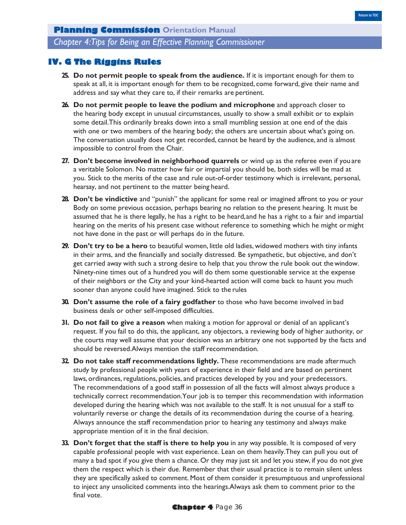*Chapter 4:Tips for Being an Effective Planning Commissioner*

# **IV. G The Riggins Rules**

- **25. Do not permit people to speak from the audience.** If it is important enough for them to speak at all, it is important enough for them to be recognized, come forward, give their name and address and say what they care to, if their remarks are pertinent.
- **26. Do not permit people to leave the podium and microphone** and approach closer to the hearing body except in unusual circumstances, usually to show a small exhibit or to explain some detail.This ordinarily breaks down into a small mumbling session at one end of the dais with one or two members of the hearing body; the others are uncertain about what's going on. The conversation usually does not get recorded, cannot be heard by the audience, and is almost impossible to control from the Chair.
- **27. Don't become involved in neighborhood quarrels** or wind up as the referee even if you are a veritable Solomon. No matter how fair or impartial you should be, both sides will be mad at you. Stick to the merits of the case and rule out-of-order testimony which is irrelevant, personal, hearsay, and not pertinent to the matter being heard.
- **28. Don't be vindictive** and "punish" the applicant for some real or imagined affront to you or your Body on some previous occasion, perhaps bearing no relation to the present hearing. It must be assumed that he is there legally, he has a right to be heard, and he has a right to a fair and impartial hearing on the merits of his present case without reference to something which he might or might not have done in the past or will perhaps do in the future.
- **29. Don't try to be a hero** to beautiful women, little old ladies, widowed mothers with tiny infants in their arms, and the financially and socially distressed. Be sympathetic, but objective, and don't get carried away with such a strong desire to help that you throw the rule book out the window. Ninety-nine times out of a hundred you will do them some questionable service at the expense of their neighbors or the City and your kind-hearted action will come back to haunt you much sooner than anyone could have imagined. Stick to the rules
- **30. Don't assume the role of a fairy godfather** to those who have become involved in bad business deals or other self-imposed difficulties.
- **31. Do not fail to give a reason** when making a motion for approval or denial of an applicant's request. If you fail to do this, the applicant, any objectors, a reviewing body of higher authority, or the courts may well assume that your decision was an arbitrary one not supported by the facts and should be reversed.Always mention the staff recommendation.
- **32. Do not take staff recommendations lightly.** These recommendations are made after much study by professional people with years of experience in their field and are based on pertinent laws, ordinances, regulations, policies, and practices developed by you and your predecessors. The recommendations of a good staff in possession of all the facts will almost always produce a technically correct recommendation.Your job is to temper this recommendation with information developed during the hearing which was not available to the staff. It is not unusual for a staff to voluntarily reverse or change the details of its recommendation during the course of a hearing. Always announce the staff recommendation prior to hearing any testimony and always make appropriate mention of it in the final decision.
- **33. Don't forget that the staff is there to help you** in any way possible. It is composed of very capable professional people with vast experience. Lean on them heavily.They can pull you out of many a bad spot if you give them a chance. Or they may just sit and let you stew, if you do not give them the respect which is their due. Remember that their usual practice is to remain silent unless they are specifically asked to comment. Most of them consider it presumptuous and unprofessional to inject any unsolicited comments into the hearings.Always ask them to comment prior to the final vote.